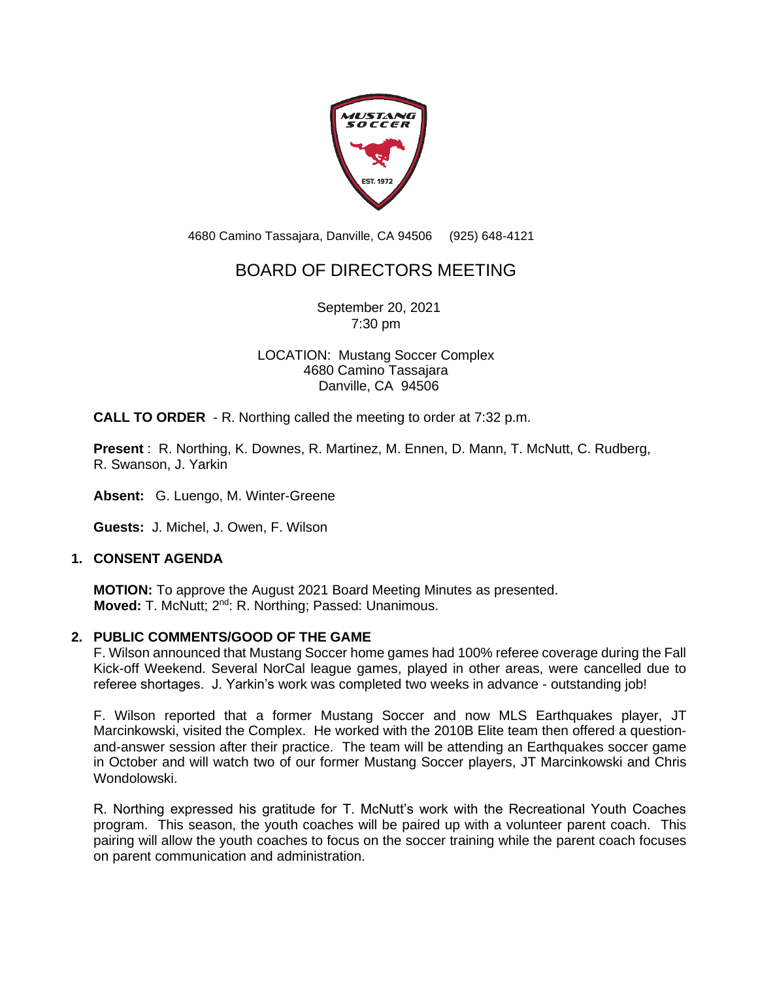

4680 Camino Tassajara, Danville, CA 94506 (925) 648-4121

# BOARD OF DIRECTORS MEETING

September 20, 2021 7:30 pm

LOCATION: Mustang Soccer Complex 4680 Camino Tassajara Danville, CA 94506

**CALL TO ORDER** - R. Northing called the meeting to order at 7:32 p.m.

**Present** : R. Northing, K. Downes, R. Martinez, M. Ennen, D. Mann, T. McNutt, C. Rudberg, R. Swanson, J. Yarkin

**Absent:** G. Luengo, M. Winter-Greene

**Guests:** J. Michel, J. Owen, F. Wilson

### **1. CONSENT AGENDA**

**MOTION:** To approve the August 2021 Board Meeting Minutes as presented. **Moved:** T. McNutt; 2<sup>nd</sup>: R. Northing; Passed: Unanimous.

### **2. PUBLIC COMMENTS/GOOD OF THE GAME**

F. Wilson announced that Mustang Soccer home games had 100% referee coverage during the Fall Kick-off Weekend. Several NorCal league games, played in other areas, were cancelled due to referee shortages. J. Yarkin's work was completed two weeks in advance - outstanding job!

F. Wilson reported that a former Mustang Soccer and now MLS Earthquakes player, JT Marcinkowski, visited the Complex. He worked with the 2010B Elite team then offered a questionand-answer session after their practice. The team will be attending an Earthquakes soccer game in October and will watch two of our former Mustang Soccer players, JT Marcinkowski and Chris Wondolowski.

R. Northing expressed his gratitude for T. McNutt's work with the Recreational Youth Coaches program. This season, the youth coaches will be paired up with a volunteer parent coach. This pairing will allow the youth coaches to focus on the soccer training while the parent coach focuses on parent communication and administration.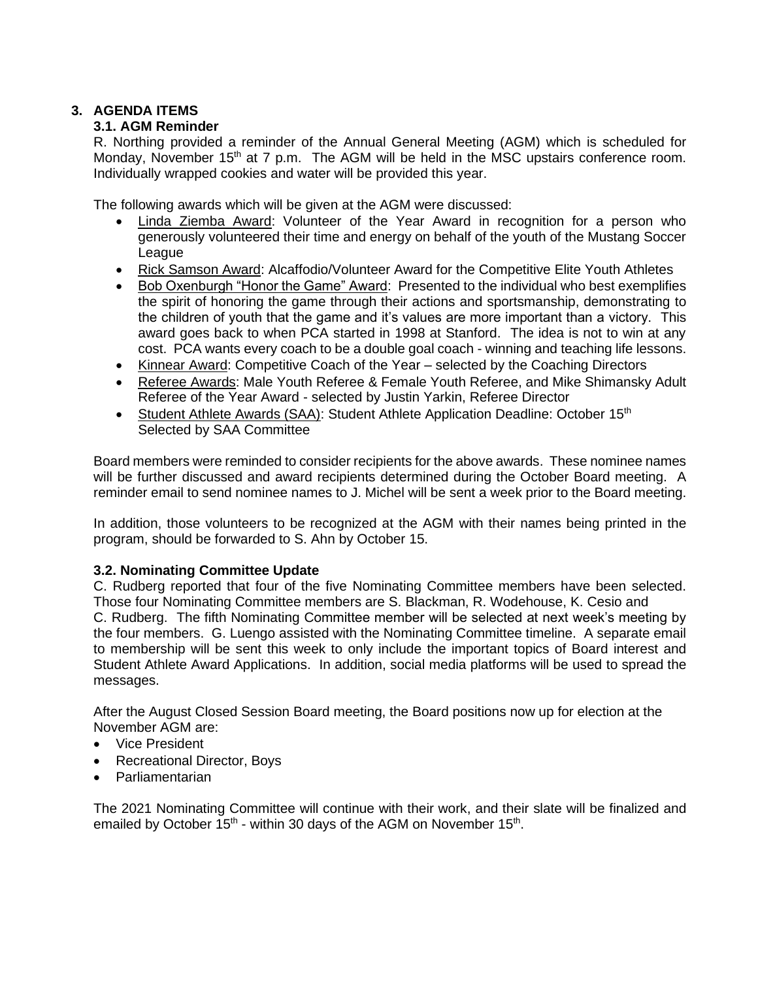# **3. AGENDA ITEMS**

# **3.1. AGM Reminder**

R. Northing provided a reminder of the Annual General Meeting (AGM) which is scheduled for Monday, November 15<sup>th</sup> at 7 p.m. The AGM will be held in the MSC upstairs conference room. Individually wrapped cookies and water will be provided this year.

The following awards which will be given at the AGM were discussed:

- Linda Ziemba Award: Volunteer of the Year Award in recognition for a person who generously volunteered their time and energy on behalf of the youth of the Mustang Soccer League
- Rick Samson Award: Alcaffodio/Volunteer Award for the Competitive Elite Youth Athletes
- Bob Oxenburgh "Honor the Game" Award: Presented to the individual who best exemplifies the spirit of honoring the game through their actions and sportsmanship, demonstrating to the children of youth that the game and it's values are more important than a victory. This award goes back to when PCA started in 1998 at Stanford. The idea is not to win at any cost. PCA wants every coach to be a double goal coach - winning and teaching life lessons.
- Kinnear Award: Competitive Coach of the Year selected by the Coaching Directors
- Referee Awards: Male Youth Referee & Female Youth Referee, and Mike Shimansky Adult Referee of the Year Award - selected by Justin Yarkin, Referee Director
- Student Athlete Awards (SAA): Student Athlete Application Deadline: October 15<sup>th</sup> Selected by SAA Committee

Board members were reminded to consider recipients for the above awards. These nominee names will be further discussed and award recipients determined during the October Board meeting. A reminder email to send nominee names to J. Michel will be sent a week prior to the Board meeting.

In addition, those volunteers to be recognized at the AGM with their names being printed in the program, should be forwarded to S. Ahn by October 15.

# **3.2. Nominating Committee Update**

C. Rudberg reported that four of the five Nominating Committee members have been selected. Those four Nominating Committee members are S. Blackman, R. Wodehouse, K. Cesio and C. Rudberg. The fifth Nominating Committee member will be selected at next week's meeting by the four members. G. Luengo assisted with the Nominating Committee timeline. A separate email to membership will be sent this week to only include the important topics of Board interest and Student Athlete Award Applications. In addition, social media platforms will be used to spread the messages.

After the August Closed Session Board meeting, the Board positions now up for election at the November AGM are:

- Vice President
- Recreational Director, Boys
- Parliamentarian

The 2021 Nominating Committee will continue with their work, and their slate will be finalized and emailed by October  $15<sup>th</sup>$  - within 30 days of the AGM on November  $15<sup>th</sup>$ .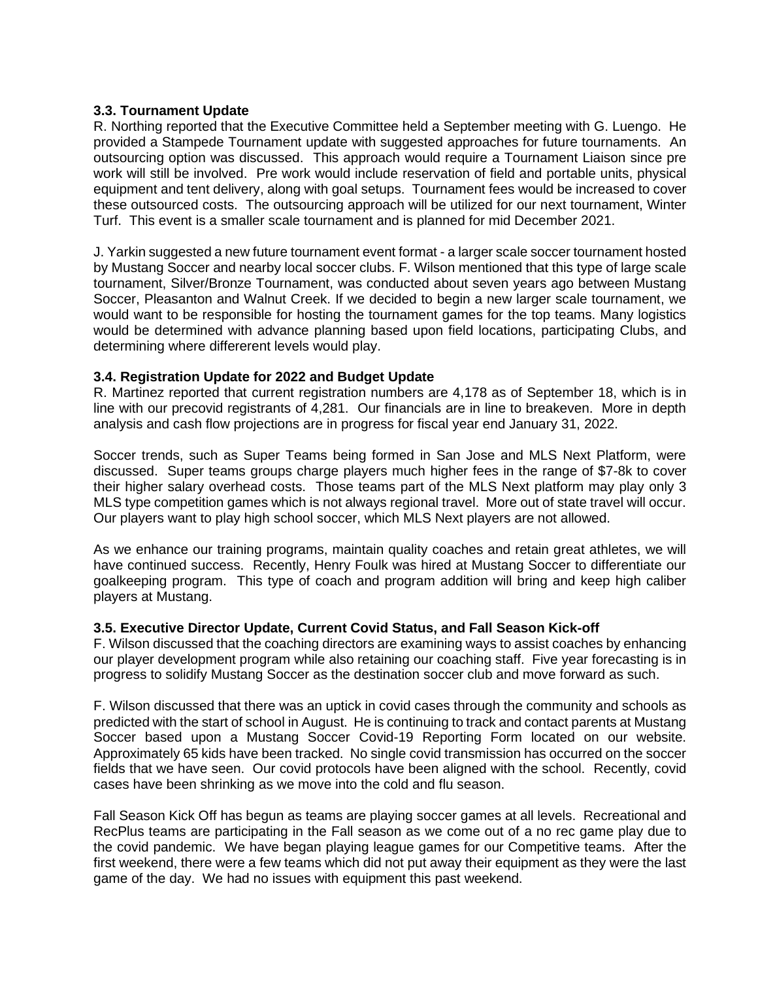#### **3.3. Tournament Update**

R. Northing reported that the Executive Committee held a September meeting with G. Luengo. He provided a Stampede Tournament update with suggested approaches for future tournaments. An outsourcing option was discussed. This approach would require a Tournament Liaison since pre work will still be involved. Pre work would include reservation of field and portable units, physical equipment and tent delivery, along with goal setups. Tournament fees would be increased to cover these outsourced costs. The outsourcing approach will be utilized for our next tournament, Winter Turf. This event is a smaller scale tournament and is planned for mid December 2021.

J. Yarkin suggested a new future tournament event format - a larger scale soccer tournament hosted by Mustang Soccer and nearby local soccer clubs. F. Wilson mentioned that this type of large scale tournament, Silver/Bronze Tournament, was conducted about seven years ago between Mustang Soccer, Pleasanton and Walnut Creek. If we decided to begin a new larger scale tournament, we would want to be responsible for hosting the tournament games for the top teams. Many logistics would be determined with advance planning based upon field locations, participating Clubs, and determining where differerent levels would play.

### **3.4. Registration Update for 2022 and Budget Update**

R. Martinez reported that current registration numbers are 4,178 as of September 18, which is in line with our precovid registrants of 4,281. Our financials are in line to breakeven. More in depth analysis and cash flow projections are in progress for fiscal year end January 31, 2022.

Soccer trends, such as Super Teams being formed in San Jose and MLS Next Platform, were discussed. Super teams groups charge players much higher fees in the range of \$7-8k to cover their higher salary overhead costs. Those teams part of the MLS Next platform may play only 3 MLS type competition games which is not always regional travel. More out of state travel will occur. Our players want to play high school soccer, which MLS Next players are not allowed.

As we enhance our training programs, maintain quality coaches and retain great athletes, we will have continued success. Recently, Henry Foulk was hired at Mustang Soccer to differentiate our goalkeeping program. This type of coach and program addition will bring and keep high caliber players at Mustang.

### **3.5. Executive Director Update, Current Covid Status, and Fall Season Kick-off**

F. Wilson discussed that the coaching directors are examining ways to assist coaches by enhancing our player development program while also retaining our coaching staff. Five year forecasting is in progress to solidify Mustang Soccer as the destination soccer club and move forward as such.

F. Wilson discussed that there was an uptick in covid cases through the community and schools as predicted with the start of school in August. He is continuing to track and contact parents at Mustang Soccer based upon a Mustang Soccer Covid-19 Reporting Form located on our website. Approximately 65 kids have been tracked. No single covid transmission has occurred on the soccer fields that we have seen. Our covid protocols have been aligned with the school. Recently, covid cases have been shrinking as we move into the cold and flu season.

Fall Season Kick Off has begun as teams are playing soccer games at all levels. Recreational and RecPlus teams are participating in the Fall season as we come out of a no rec game play due to the covid pandemic. We have began playing league games for our Competitive teams. After the first weekend, there were a few teams which did not put away their equipment as they were the last game of the day. We had no issues with equipment this past weekend.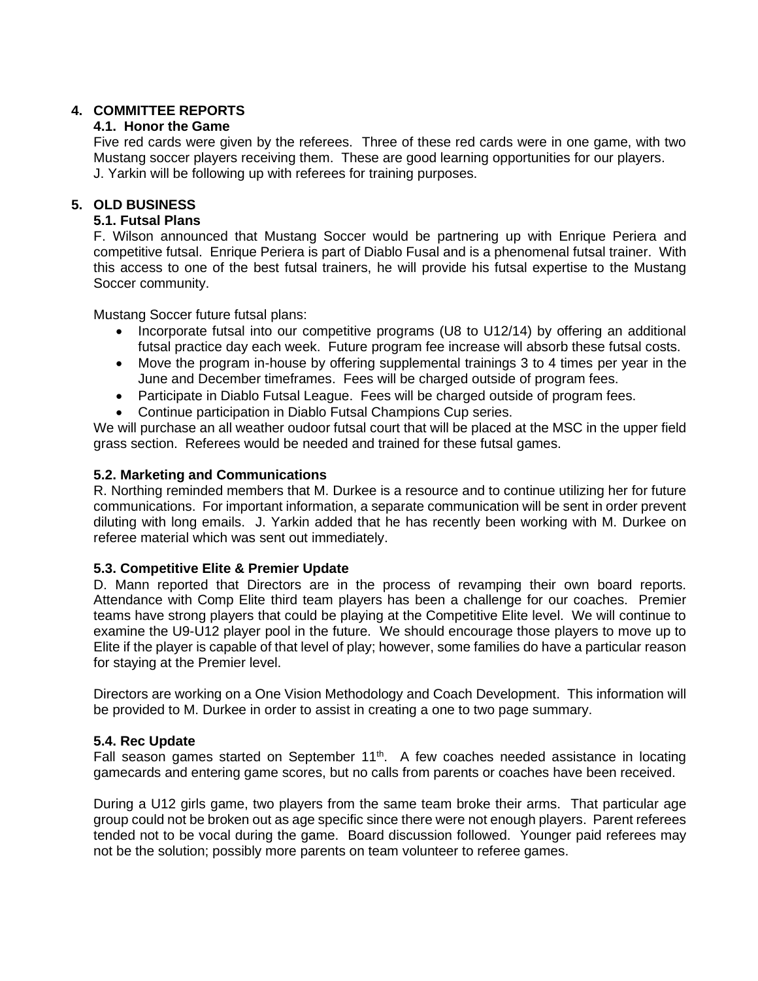### **4. COMMITTEE REPORTS**

## **4.1. Honor the Game**

Five red cards were given by the referees. Three of these red cards were in one game, with two Mustang soccer players receiving them. These are good learning opportunities for our players. J. Yarkin will be following up with referees for training purposes.

# **5. OLD BUSINESS**

### **5.1. Futsal Plans**

F. Wilson announced that Mustang Soccer would be partnering up with Enrique Periera and competitive futsal. Enrique Periera is part of Diablo Fusal and is a phenomenal futsal trainer. With this access to one of the best futsal trainers, he will provide his futsal expertise to the Mustang Soccer community.

Mustang Soccer future futsal plans:

- Incorporate futsal into our competitive programs (U8 to U12/14) by offering an additional futsal practice day each week. Future program fee increase will absorb these futsal costs.
- Move the program in-house by offering supplemental trainings 3 to 4 times per year in the June and December timeframes. Fees will be charged outside of program fees.
- Participate in Diablo Futsal League. Fees will be charged outside of program fees.
- Continue participation in Diablo Futsal Champions Cup series.

We will purchase an all weather oudoor futsal court that will be placed at the MSC in the upper field grass section. Referees would be needed and trained for these futsal games.

### **5.2. Marketing and Communications**

R. Northing reminded members that M. Durkee is a resource and to continue utilizing her for future communications. For important information, a separate communication will be sent in order prevent diluting with long emails. J. Yarkin added that he has recently been working with M. Durkee on referee material which was sent out immediately.

### **5.3. Competitive Elite & Premier Update**

D. Mann reported that Directors are in the process of revamping their own board reports. Attendance with Comp Elite third team players has been a challenge for our coaches. Premier teams have strong players that could be playing at the Competitive Elite level. We will continue to examine the U9-U12 player pool in the future. We should encourage those players to move up to Elite if the player is capable of that level of play; however, some families do have a particular reason for staying at the Premier level.

Directors are working on a One Vision Methodology and Coach Development. This information will be provided to M. Durkee in order to assist in creating a one to two page summary.

### **5.4. Rec Update**

Fall season games started on September 11<sup>th</sup>. A few coaches needed assistance in locating gamecards and entering game scores, but no calls from parents or coaches have been received.

During a U12 girls game, two players from the same team broke their arms. That particular age group could not be broken out as age specific since there were not enough players. Parent referees tended not to be vocal during the game. Board discussion followed. Younger paid referees may not be the solution; possibly more parents on team volunteer to referee games.